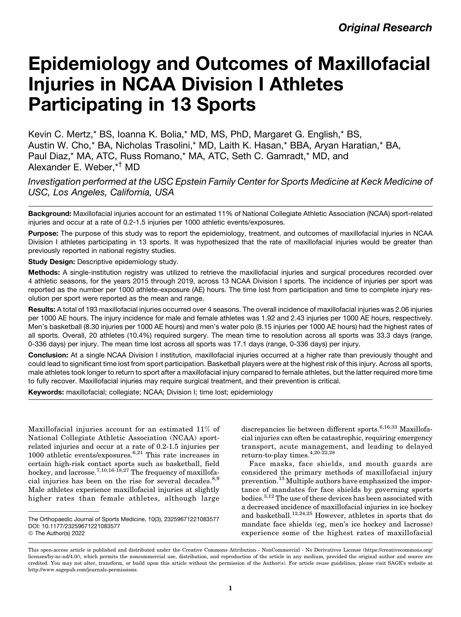# Epidemiology and Outcomes of Maxillofacial Injuries in NCAA Division I Athletes Participating in 13 Sports

Kevin C. Mertz,\* BS, Ioanna K. Bolia,\* MD, MS, PhD, Margaret G. English,\* BS, Austin W. Cho,\* BA, Nicholas Trasolini,\* MD, Laith K. Hasan,\* BBA, Aryan Haratian,\* BA, Paul Diaz,\* MA, ATC, Russ Romano,\* MA, ATC, Seth C. Gamradt,\* MD, and Alexander E. Weber,\*† MD

Investigation performed at the USC Epstein Family Center for Sports Medicine at Keck Medicine of USC, Los Angeles, California, USA

Background: Maxillofacial injuries account for an estimated 11% of National Collegiate Athletic Association (NCAA) sport-related injuries and occur at a rate of 0.2-1.5 injuries per 1000 athletic events/exposures.

Purpose: The purpose of this study was to report the epidemiology, treatment, and outcomes of maxillofacial injuries in NCAA Division I athletes participating in 13 sports. It was hypothesized that the rate of maxillofacial injuries would be greater than previously reported in national registry studies.

Study Design: Descriptive epidemiology study.

Methods: A single-institution registry was utilized to retrieve the maxillofacial injuries and surgical procedures recorded over 4 athletic seasons, for the years 2015 through 2019, across 13 NCAA Division I sports. The incidence of injuries per sport was reported as the number per 1000 athlete-exposure (AE) hours. The time lost from participation and time to complete injury resolution per sport were reported as the mean and range.

Results: A total of 193 maxillofacial injuries occurred over 4 seasons. The overall incidence of maxillofacial injuries was 2.06 injuries per 1000 AE hours. The injury incidence for male and female athletes was 1.92 and 2.43 injuries per 1000 AE hours, respectively. Men's basketball (8.30 injuries per 1000 AE hours) and men's water polo (8.15 injuries per 1000 AE hours) had the highest rates of all sports. Overall, 20 athletes (10.4%) required surgery. The mean time to resolution across all sports was 33.3 days (range, 0-336 days) per injury. The mean time lost across all sports was 17.1 days (range, 0-336 days) per injury.

Conclusion: At a single NCAA Division I institution, maxillofacial injuries occurred at a higher rate than previously thought and could lead to significant time lost from sport participation. Basketball players were at the highest risk of this injury. Across all sports, male athletes took longer to return to sport after a maxillofacial injury compared to female athletes, but the latter required more time to fully recover. Maxillofacial injuries may require surgical treatment, and their prevention is critical.

Keywords: maxillofacial; collegiate; NCAA; Division I; time lost; epidemiology

Maxillofacial injuries account for an estimated 11% of National Collegiate Athletic Association (NCAA) sportrelated injuries and occur at a rate of 0.2-1.5 injuries per 1000 athletic events/exposures.[6](#page-4-0),[21](#page-5-0) This rate increases in certain high-risk contact sports such as basketball, field hockey, and lacrosse.<sup>[7,10](#page-4-0)[,16-18,27](#page-5-0)</sup> The frequency of maxillofa-cial injuries has been on the rise for several decades.<sup>[8,9](#page-4-0)</sup> Male athletes experience maxillofacial injuries at slightly higher rates than female athletes, although large

discrepancies lie between different sports.<sup>[6](#page-4-0)[,16,33](#page-5-0)</sup> Maxillofacial injuries can often be catastrophic, requiring emergency transport, acute management, and leading to delayed return-to-play times.  $4,20-22,28$  $4,20-22,28$ 

Face masks, face shields, and mouth guards are considered the primary methods of maxillofacial injury prevention.[13](#page-5-0) Multiple authors have emphasized the importance of mandates for face shields by governing sports  $\rm{bodies.}^{3,12}$  $\rm{bodies.}^{3,12}$  $\rm{bodies.}^{3,12}$  $\rm{bodies.}^{3,12}$  The use of these devices has been associated with a decreased incidence of maxillofacial injuries in ice hockey and basketball.[12,24,25](#page-5-0) However, athletes in sports that do mandate face shields (eg, men's ice hockey and lacrosse) experience some of the highest rates of maxillofacial

The Orthopaedic Journal of Sports Medicine, 10(3), 23259671221083577 DOI: 10.1177/23259671221083577 © The Author(s) 2022

This open-access article is published and distributed under the Creative Commons Attribution - NonCommercial - No Derivatives License (https://creativecommons.org/ licenses/by-nc-nd/4.0/), which permits the noncommercial use, distribution, and reproduction of the article in any medium, provided the original author and source are credited. You may not alter, transform, or build upon this article without the permission of the Author(s). For article reuse guidelines, please visit SAGE's website at http://www.sagepub.com/journals-permissions.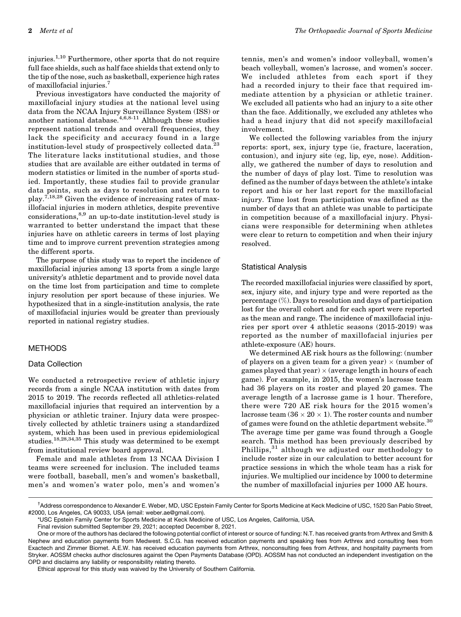injuries.[1,10](#page-4-0) Furthermore, other sports that do not require full face shields, such as half face shields that extend only to the tip of the nose, such as basketball, experience high rates of maxillofacial injuries.[7](#page-4-0)

Previous investigators have conducted the majority of maxillofacial injury studies at the national level using data from the NCAA Injury Surveillance System (ISS) or another national database.[4,6,8-11](#page-4-0) Although these studies represent national trends and overall frequencies, they lack the specificity and accuracy found in a large institution-level study of prospectively collected data.<sup>[23](#page-5-0)</sup> The literature lacks institutional studies, and those studies that are available are either outdated in terms of modern statistics or limited in the number of sports studied. Importantly, these studies fail to provide granular data points, such as days to resolution and return to play.<sup>[7](#page-4-0)[,18,28](#page-5-0)</sup> Given the evidence of increasing rates of maxillofacial injuries in modern athletics, despite preventive considerations,<sup>[8,9](#page-4-0)</sup> an up-to-date institution-level study is warranted to better understand the impact that these injuries have on athletic careers in terms of lost playing time and to improve current prevention strategies among the different sports.

The purpose of this study was to report the incidence of maxillofacial injuries among 13 sports from a single large university's athletic department and to provide novel data on the time lost from participation and time to complete injury resolution per sport because of these injuries. We hypothesized that in a single-institution analysis, the rate of maxillofacial injuries would be greater than previously reported in national registry studies.

## METHODS

#### Data Collection

We conducted a retrospective review of athletic injury records from a single NCAA institution with dates from 2015 to 2019. The records reflected all athletics-related maxillofacial injuries that required an intervention by a physician or athletic trainer. Injury data were prospectively collected by athletic trainers using a standardized system, which has been used in previous epidemiological studies.[18,28,34](#page-5-0),[35](#page-5-0) This study was determined to be exempt from institutional review board approval.

Female and male athletes from 13 NCAA Division I teams were screened for inclusion. The included teams were football, baseball, men's and women's basketball, men's and women's water polo, men's and women's tennis, men's and women's indoor volleyball, women's beach volleyball, women's lacrosse, and women's soccer. We included athletes from each sport if they had a recorded injury to their face that required immediate attention by a physician or athletic trainer. We excluded all patients who had an injury to a site other than the face. Additionally, we excluded any athletes who had a head injury that did not specify maxillofacial involvement.

We collected the following variables from the injury reports: sport, sex, injury type (ie, fracture, laceration, contusion), and injury site (eg, lip, eye, nose). Additionally, we gathered the number of days to resolution and the number of days of play lost. Time to resolution was defined as the number of days between the athlete's intake report and his or her last report for the maxillofacial injury. Time lost from participation was defined as the number of days that an athlete was unable to participate in competition because of a maxillofacial injury. Physicians were responsible for determining when athletes were clear to return to competition and when their injury resolved.

#### Statistical Analysis

The recorded maxillofacial injuries were classified by sport, sex, injury site, and injury type and were reported as the percentage (%). Days to resolution and days of participation lost for the overall cohort and for each sport were reported as the mean and range. The incidence of maxillofacial injuries per sport over 4 athletic seasons (2015-2019) was reported as the number of maxillofacial injuries per athlete-exposure (AE) hours.

We determined AE risk hours as the following: (number of players on a given team for a given year)  $\times$  (number of games played that year)  $\times$  (average length in hours of each game). For example, in 2015, the women's lacrosse team had 36 players on its roster and played 20 games. The average length of a lacrosse game is 1 hour. Therefore, there were 720 AE risk hours for the 2015 women's lacrosse team (36  $\times$  20  $\times$  1). The roster counts and number of games were found on the athletic department website. $30$ The average time per game was found through a Google search. This method has been previously described by Phillips,[31](#page-5-0) although we adjusted our methodology to include roster size in our calculation to better account for practice sessions in which the whole team has a risk for injuries. We multiplied our incidence by 1000 to determine the number of maxillofacial injuries per 1000 AE hours.

<sup>†</sup> Address correspondence to Alexander E. Weber, MD, USC Epstein Family Center for Sports Medicine at Keck Medicine of USC, 1520 San Pablo Street, #2000, Los Angeles, CA 90033, USA (email: weber.ae@gmail.com).

<sup>\*</sup>USC Epstein Family Center for Sports Medicine at Keck Medicine of USC, Los Angeles, California, USA.

Final revision submitted September 29, 2021; accepted December 8, 2021.

One or more of the authors has declared the following potential conflict of interest or source of funding: N.T. has received grants from Arthrex and Smith & Nephew and education payments from Medwest. S.C.G. has received education payments and speaking fees from Arthrex and consulting fees from Exactech and Zimmer Biomet. A.E.W. has received education payments from Arthrex, nonconsulting fees from Arthrex, and hospitality payments from Stryker. AOSSM checks author disclosures against the Open Payments Database (OPD). AOSSM has not conducted an independent investigation on the OPD and disclaims any liability or responsibility relating thereto.

Ethical approval for this study was waived by the University of Southern California.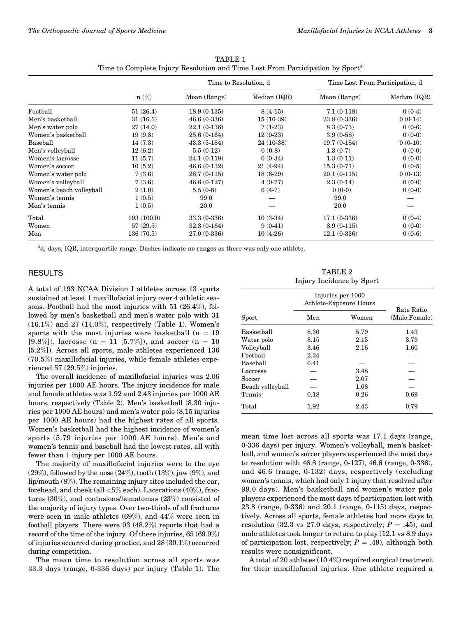|                          | $n(\%)$    | Time to Resolution, d |              | Time Lost From Participation, d |              |
|--------------------------|------------|-----------------------|--------------|---------------------------------|--------------|
|                          |            | Mean (Range)          | Median (IQR) | Mean (Range)                    | Median (IQR) |
| Football                 | 51(26.4)   | $18.9(0-135)$         | $8(4-15)$    | $7.1(0-118)$                    | $0(0-4)$     |
| Men's basketball         | 31(16.1)   | $46.6(0-336)$         | $15(10-39)$  | 23.8 (0-336)                    | $0(0-14)$    |
| Men's water polo         | 27(14.0)   | $22.1(0-136)$         | $7(1-23)$    | $8.3(0-73)$                     | $0(0-6)$     |
| Women's basketball       | 19(9.8)    | $25.6(0-164)$         | $12(0-23)$   | $3.9(0-58)$                     | $0(0-0)$     |
| Baseball                 | 14(7.3)    | $43.3(5-184)$         | $24(10-38)$  | $19.7(0-184)$                   | $0(0-10)$    |
| Men's volleyball         | 12(6.2)    | $5.5(0-12)$           | $0(0-8)$     | $1.3(0-7)$                      | $0(0-0)$     |
| Women's lacrosse         | 11(5.7)    | $24.1(0-118)$         | $0(0-34)$    | $1.3(0-11)$                     | $0(0-0)$     |
| Women's soccer           | 10(5.2)    | $46.6(0-132)$         | $21(4-94)$   | $15.3(0-71)$                    | $0(0-5)$     |
| Women's water polo       | 7(3.6)     | $28.7(0-115)$         | $18(6-29)$   | $20.1(0-115)$                   | $0(0-13)$    |
| Women's volleyball       | 7(3.6)     | $46.8(0-127)$         | $4(0-77)$    | $2.3(0-14)$                     | $0(0-0)$     |
| Women's beach volleyball | 2(1.0)     | $5.5(0-8)$            | $6(4-7)$     | $0(0-0)$                        | $0(0-0)$     |
| Women's tennis           | 1(0.5)     | 99.0                  |              | 99.0                            |              |
| Men's tennis             | 1(0.5)     | 20.0                  |              | 20.0                            |              |
| Total                    | 193(100.0) | 33.3 (0-336)          | $10(3-34)$   | $17.1(0-336)$                   | $0(0-4)$     |
| Women                    | 57(29.5)   | $32.3(0-164)$         | $9(0-41)$    | $8.9(0-115)$                    | $0(0-0)$     |
| Men                      | 136(70.5)  | 27.0 (0-336)          | $10(4-26)$   | $12.1(0-336)$                   | $0(0-6)$     |

TABLE 1 Time to Complete Injury Resolution and Time Lost From Participation by Sport<sup>a</sup>

<sup>a</sup>d, days; IQR, interquartile range. Dashes indicate no ranges as there was only one athlete.

### RESULTS

A total of 193 NCAA Division I athletes across 13 sports sustained at least 1 maxillofacial injury over 4 athletic seasons. Football had the most injuries with 51 (26.4%), followed by men's basketball and men's water polo with 31 (16.1%) and 27 (14.0%), respectively (Table 1). Women's sports with the most injuries were basketball  $(n = 19)$ [9.8%]), lacrosse (n = 11 [5.7%]), and soccer (n = 10 [5.2%]). Across all sports, male athletes experienced 136 (70.5%) maxillofacial injuries, while female athletes experienced 57 (29.5%) injuries.

The overall incidence of maxillofacial injuries was 2.06 injuries per 1000 AE hours. The injury incidence for male and female athletes was 1.92 and 2.43 injuries per 1000 AE hours, respectively (Table 2). Men's basketball (8.30 injuries per 1000 AE hours) and men's water polo (8.15 injuries per 1000 AE hours) had the highest rates of all sports. Women's basketball had the highest incidence of women's sports (5.79 injuries per 1000 AE hours). Men's and women's tennis and baseball had the lowest rates, all with fewer than 1 injury per 1000 AE hours.

The majority of maxillofacial injuries were to the eye  $(29\%)$ , followed by the nose  $(24\%)$ , tooth  $(13\%)$ , jaw  $(9\%)$ , and lip/mouth (8%). The remaining injury sites included the ear, forehead, and cheek (all <5% each). Lacerations (40%), fractures (30%), and contusions/hematomas (23%) consisted of the majority of injury types. Over two-thirds of all fractures were seen in male athletes (69%), and 44% were seen in football players. There were 93 (48.2%) reports that had a record of the time of the injury. Of these injuries, 65 (69.9%) of injuries occurred during practice, and 28 (30.1%) occurred during competition.

The mean time to resolution across all sports was 33.3 days (range, 0-336 days) per injury (Table 1). The

TABLE 2 Injury Incidence by Sport

|                  | Injuries per 1000<br>Athlete-Exposure Hours | Rate Ratio |               |  |
|------------------|---------------------------------------------|------------|---------------|--|
| Sport            | Men                                         | Women      | (Male:Female) |  |
| Basketball       | 8.30                                        | 5.79       | 1.43          |  |
| Water polo       | 8.15                                        | 2.15       | 3.79          |  |
| Volleyball       | 3.46                                        | 2.16       | 1.60          |  |
| Football         | 2.34                                        |            |               |  |
| Baseball         | 0.41                                        |            |               |  |
| Lacrosse         |                                             | 3.48       |               |  |
| Soccer           |                                             | 2.07       |               |  |
| Beach volleyball |                                             | 1.08       |               |  |
| Tennis           | 0.18                                        | 0.26       | 0.69          |  |
| Total            | 1.92                                        | 2.43       | 0.79          |  |

mean time lost across all sports was 17.1 days (range, 0-336 days) per injury. Women's volleyball, men's basketball, and women's soccer players experienced the most days to resolution with 46.8 (range, 0-127), 46.6 (range, 0-336), and 46.6 (range, 0-132) days, respectively (excluding women's tennis, which had only 1 injury that resolved after 99.0 days). Men's basketball and women's water polo players experienced the most days of participation lost with 23.8 (range, 0-336) and 20.1 (range, 0-115) days, respectively. Across all sports, female athletes had more days to resolution (32.3 vs 27.0 days, respectively;  $P = .45$ ), and male athletes took longer to return to play (12.1 vs 8.9 days of participation lost, respectively;  $P = .49$ ), although both results were nonsignificant.

A total of 20 athletes (10.4%) required surgical treatment for their maxillofacial injuries. One athlete required a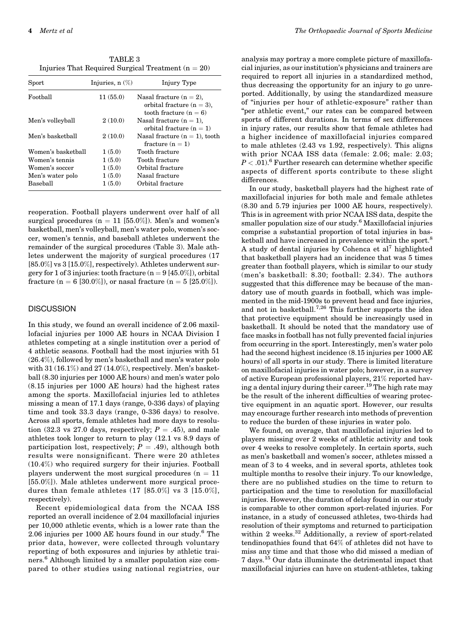TABLE 3 Injuries That Required Surgical Treatment  $(n = 20)$ 

| Sport              | Injuries, $n(\%)$ | Injury Type                                                                            |
|--------------------|-------------------|----------------------------------------------------------------------------------------|
| Football           | 11(55.0)          | Nasal fracture $(n = 2)$ ,<br>orbital fracture $(n = 3)$ ,<br>tooth fracture $(n = 6)$ |
| Men's volleyball   | 2(10.0)           | Nasal fracture $(n = 1)$ ,<br>orbital fracture $(n = 1)$                               |
| Men's basketball   | 2(10.0)           | Nasal fracture $(n = 1)$ , tooth<br>fracture $(n = 1)$                                 |
| Women's basketball | 1(5.0)            | Tooth fracture                                                                         |
| Women's tennis     | 1(5.0)            | Tooth fracture                                                                         |
| Women's soccer     | 1(5.0)            | Orbital fracture                                                                       |
| Men's water polo   | 1(5.0)            | Nasal fracture                                                                         |
| Baseball           | 1(5.0)            | Orbital fracture                                                                       |

reoperation. Football players underwent over half of all surgical procedures ( $n = 11$  [55.0%]). Men's and women's basketball, men's volleyball, men's water polo, women's soccer, women's tennis, and baseball athletes underwent the remainder of the surgical procedures (Table 3). Male athletes underwent the majority of surgical procedures (17 [85.0%] vs 3 [15.0%], respectively). Athletes underwent surgery for 1 of 3 injuries: tooth fracture  $(n = 9 [45.0\%])$ , orbital fracture (n = 6 [30.0%]), or nasal fracture (n = 5 [25.0%]).

## **DISCUSSION**

In this study, we found an overall incidence of 2.06 maxillofacial injuries per 1000 AE hours in NCAA Division I athletes competing at a single institution over a period of 4 athletic seasons. Football had the most injuries with 51 (26.4%), followed by men's basketball and men's water polo with  $31(16.1\%)$  and  $27(14.0\%)$ , respectively. Men's basketball (8.30 injuries per 1000 AE hours) and men's water polo (8.15 injuries per 1000 AE hours) had the highest rates among the sports. Maxillofacial injuries led to athletes missing a mean of 17.1 days (range, 0-336 days) of playing time and took 33.3 days (range, 0-336 days) to resolve. Across all sports, female athletes had more days to resolution (32.3 vs 27.0 days, respectively;  $P = .45$ ), and male athletes took longer to return to play (12.1 vs 8.9 days of participation lost, respectively;  $P = .49$ ), although both results were nonsignificant. There were 20 athletes (10.4%) who required surgery for their injuries. Football players underwent the most surgical procedures ( $n = 11$ ) [55.0%]). Male athletes underwent more surgical procedures than female athletes  $(17 \; [85.0\%] \; \text{vs} \; 3 \; [15.0\%],$ respectively).

Recent epidemiological data from the NCAA ISS reported an overall incidence of 2.04 maxillofacial injuries per 10,000 athletic events, which is a lower rate than the 2.06 injuries per 1000 AE hours found in our study.[6](#page-4-0) The prior data, however, were collected through voluntary reporting of both exposures and injuries by athletic trai-ners.<sup>[6](#page-4-0)</sup> Although limited by a smaller population size compared to other studies using national registries, our analysis may portray a more complete picture of maxillofacial injuries, as our institution's physicians and trainers are required to report all injuries in a standardized method, thus decreasing the opportunity for an injury to go unreported. Additionally, by using the standardized measure of "injuries per hour of athletic-exposure" rather than "per athletic event," our rates can be compared between sports of different durations. In terms of sex differences in injury rates, our results show that female athletes had a higher incidence of maxillofacial injuries compared to male athletes (2.43 vs 1.92, respectively). This aligns with prior NCAA ISS data (female: 2.06; male: 2.03;  $P < .01$ ).<sup>[6](#page-4-0)</sup> Further research can determine whether specific aspects of different sports contribute to these slight differences.

In our study, basketball players had the highest rate of maxillofacial injuries for both male and female athletes (8.30 and 5.79 injuries per 1000 AE hours, respectively). This is in agreement with prior NCAA ISS data, despite the smaller population size of our study.<sup>[6](#page-4-0)</sup> Maxillofacial injuries comprise a substantial proportion of total injuries in bas-ketball and have increased in prevalence within the sport.<sup>[8](#page-4-0)</sup> A study of dental injuries by Cohenca et  $al<sup>7</sup>$  $al<sup>7</sup>$  $al<sup>7</sup>$  highlighted that basketball players had an incidence that was 5 times greater than football players, which is similar to our study (men's basketball: 8.30; football: 2.34). The authors suggested that this difference may be because of the mandatory use of mouth guards in football, which was implemented in the mid-1900s to prevent head and face injuries, and not in basketball.<sup>[7,](#page-4-0)[26](#page-5-0)</sup> This further supports the idea that protective equipment should be increasingly used in basketball. It should be noted that the mandatory use of face masks in football has not fully prevented facial injuries from occurring in the sport. Interestingly, men's water polo had the second highest incidence  $(8.15 \text{ in})$  injuries per 1000 AE hours) of all sports in our study. There is limited literature on maxillofacial injuries in water polo; however, in a survey of active European professional players, 21% reported hav-ing a dental injury during their career.<sup>[19](#page-5-0)</sup> The high rate may be the result of the inherent difficulties of wearing protective equipment in an aquatic sport. However, our results may encourage further research into methods of prevention to reduce the burden of these injuries in water polo.

We found, on average, that maxillofacial injuries led to players missing over 2 weeks of athletic activity and took over 4 weeks to resolve completely. In certain sports, such as men's basketball and women's soccer, athletes missed a mean of 3 to 4 weeks, and in several sports, athletes took multiple months to resolve their injury. To our knowledge, there are no published studies on the time to return to participation and the time to resolution for maxillofacial injuries. However, the duration of delay found in our study is comparable to other common sport-related injuries. For instance, in a study of concussed athletes, two-thirds had resolution of their symptoms and returned to participation within 2 weeks.<sup>[32](#page-5-0)</sup> Additionally, a review of sport-related tendinopathies found that 64% of athletes did not have to miss any time and that those who did missed a median of 7 days.[15](#page-5-0) Our data illuminate the detrimental impact that maxillofacial injuries can have on student-athletes, taking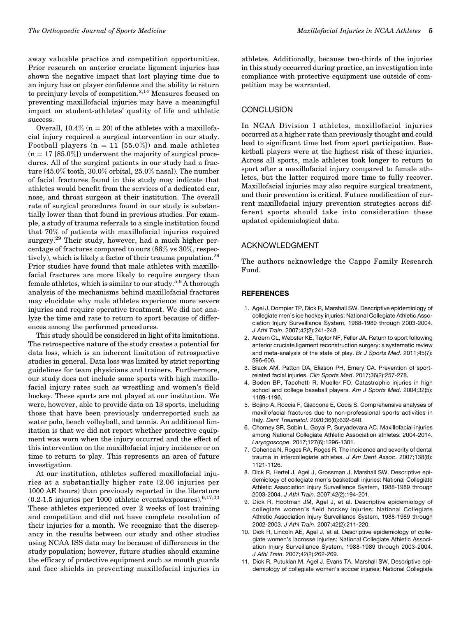<span id="page-4-0"></span>away valuable practice and competition opportunities. Prior research on anterior cruciate ligament injuries has shown the negative impact that lost playing time due to an injury has on player confidence and the ability to return to preinjury levels of competition.<sup>2,[14](#page-5-0)</sup> Measures focused on preventing maxillofacial injuries may have a meaningful impact on student-athletes' quality of life and athletic success.

Overall,  $10.4\%$  (n = 20) of the athletes with a maxillofacial injury required a surgical intervention in our study. Football players ( $n = 11$  [55.0%]) and male athletes  $(n = 17 [85.0\%])$  underwent the majority of surgical procedures. All of the surgical patients in our study had a fracture (45.0% tooth, 30.0% orbital, 25.0% nasal). The number of facial fractures found in this study may indicate that athletes would benefit from the services of a dedicated ear, nose, and throat surgeon at their institution. The overall rate of surgical procedures found in our study is substantially lower than that found in previous studies. For example, a study of trauma referrals to a single institution found that 70% of patients with maxillofacial injuries required surgery.<sup>[29](#page-5-0)</sup> Their study, however, had a much higher percentage of fractures compared to ours (86% vs 30%, respec-tively), which is likely a factor of their trauma population.<sup>[29](#page-5-0)</sup>

Prior studies have found that male athletes with maxillofacial fractures are more likely to require surgery than female athletes, which is similar to our study.<sup>5,6</sup> A thorough analysis of the mechanisms behind maxillofacial fractures may elucidate why male athletes experience more severe injuries and require operative treatment. We did not analyze the time and rate to return to sport because of differences among the performed procedures.

This study should be considered in light of its limitations. The retrospective nature of the study creates a potential for data loss, which is an inherent limitation of retrospective studies in general. Data loss was limited by strict reporting guidelines for team physicians and trainers. Furthermore, our study does not include some sports with high maxillofacial injury rates such as wrestling and women's field hockey. These sports are not played at our institution. We were, however, able to provide data on 13 sports, including those that have been previously underreported such as water polo, beach volleyball, and tennis. An additional limitation is that we did not report whether protective equipment was worn when the injury occurred and the effect of this intervention on the maxillofacial injury incidence or on time to return to play. This represents an area of future investigation.

At our institution, athletes suffered maxillofacial injuries at a substantially higher rate (2.06 injuries per 1000 AE hours) than previously reported in the literature (0.2-1.5 injuries per 1000 athletic events/exposures).6,[17,33](#page-5-0) These athletes experienced over 2 weeks of lost training and competition and did not have complete resolution of their injuries for a month. We recognize that the discrepancy in the results between our study and other studies using NCAA ISS data may be because of differences in the study population; however, future studies should examine the efficacy of protective equipment such as mouth guards and face shields in preventing maxillofacial injuries in

athletes. Additionally, because two-thirds of the injuries in this study occurred during practice, an investigation into compliance with protective equipment use outside of competition may be warranted.

## **CONCLUSION**

In NCAA Division I athletes, maxillofacial injuries occurred at a higher rate than previously thought and could lead to significant time lost from sport participation. Basketball players were at the highest risk of these injuries. Across all sports, male athletes took longer to return to sport after a maxillofacial injury compared to female athletes, but the latter required more time to fully recover. Maxillofacial injuries may also require surgical treatment, and their prevention is critical. Future modification of current maxillofacial injury prevention strategies across different sports should take into consideration these updated epidemiological data.

# ACKNOWLEDGMENT

The authors acknowledge the Cappo Family Research Fund.

## **REFERENCES**

- 1. Agel J, Dompier TP, Dick R, Marshall SW. Descriptive epidemiology of collegiate men's ice hockey injuries: National Collegiate Athletic Association Injury Surveillance System, 1988-1989 through 2003-2004. J Athl Train. 2007;42(2):241-248.
- 2. Ardern CL, Webster KE, Taylor NF, Feller JA. Return to sport following anterior cruciate ligament reconstruction surgery: a systematic review and meta-analysis of the state of play. Br J Sports Med. 2011;45(7): 596-606.
- 3. Black AM, Patton DA, Eliason PH, Emery CA. Prevention of sportrelated facial injuries. Clin Sports Med. 2017;36(2):257-278.
- 4. Boden BP, Tacchetti R, Mueller FO. Catastrophic injuries in high school and college baseball players. Am J Sports Med. 2004;32(5): 1189-1196.
- 5. Bojino A, Roccia F, Giaccone E, Cocis S. Comprehensive analyses of maxillofacial fractures due to non-professional sports activities in Italy. Dent Traumatol. 2020;36(6):632-640.
- 6. Chorney SR, Sobin L, Goyal P, Suryadevara AC. Maxillofacial injuries among National Collegiate Athletic Association athletes: 2004-2014. Laryngoscope. 2017;127(6):1296-1301.
- 7. Cohenca N, Roges RA, Roges R. The incidence and severity of dental trauma in intercollegiate athletes. J Am Dent Assoc. 2007;138(8): 1121-1126.
- 8. Dick R, Hertel J, Agel J, Grossman J, Marshall SW. Descriptive epidemiology of collegiate men's basketball injuries: National Collegiate Athletic Association Injury Surveillance System, 1988-1989 through 2003-2004. J Athl Train. 2007;42(2):194-201.
- 9. Dick R, Hootman JM, Agel J, et al. Descriptive epidemiology of collegiate women's field hockey injuries: National Collegiate Athletic Association Injury Surveillance System, 1988-1989 through 2002-2003. J Athl Train. 2007;42(2):211-220.
- 10. Dick R, Lincoln AE, Agel J, et al. Descriptive epidemiology of collegiate women's lacrosse injuries: National Collegiate Athletic Association Injury Surveillance System, 1988-1989 through 2003-2004. J Athl Train. 2007;42(2):262-269.
- 11. Dick R, Putukian M, Agel J, Evans TA, Marshall SW. Descriptive epidemiology of collegiate women's soccer injuries: National Collegiate